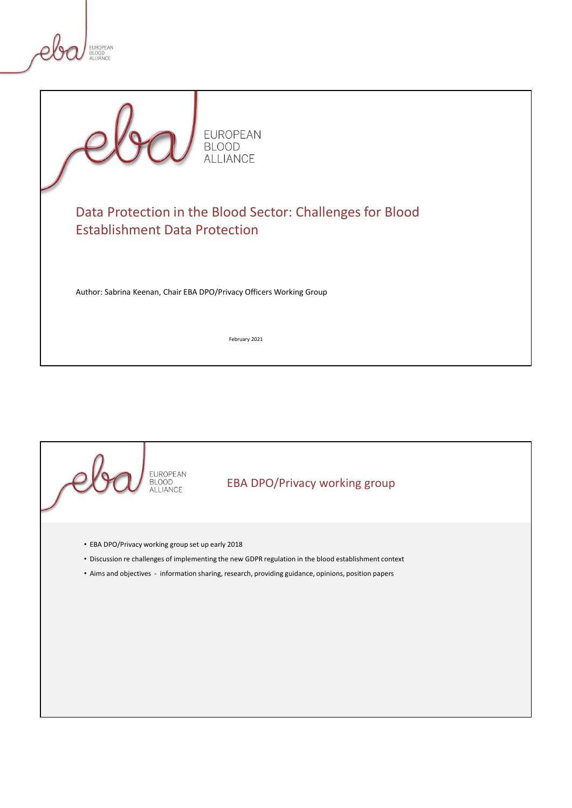

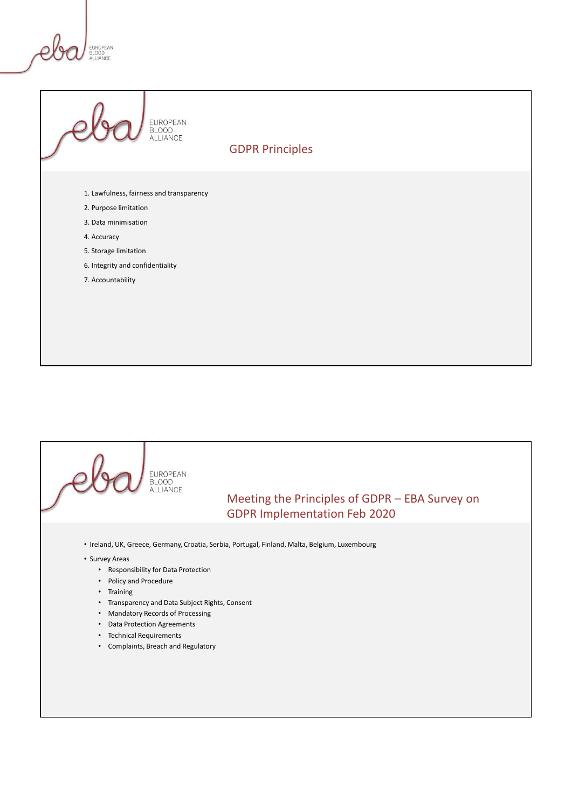FUROPEAN **BLUUD**<br>ALLIANCE



GDPR Principles

- 1. Lawfulness, fairness and transparency
- 2. Purpose limitation
- 3. Data minimisation
- 4. Accuracy
- 5. Storage limitation
- 6. Integrity and confidentiality
- 7. Accountability

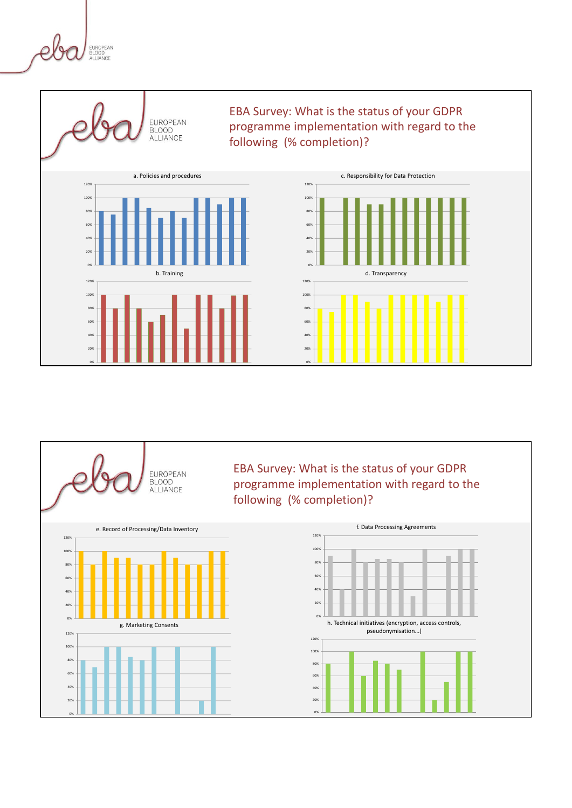EUROPEAN<br>BLOOD<br>ALLIANCE



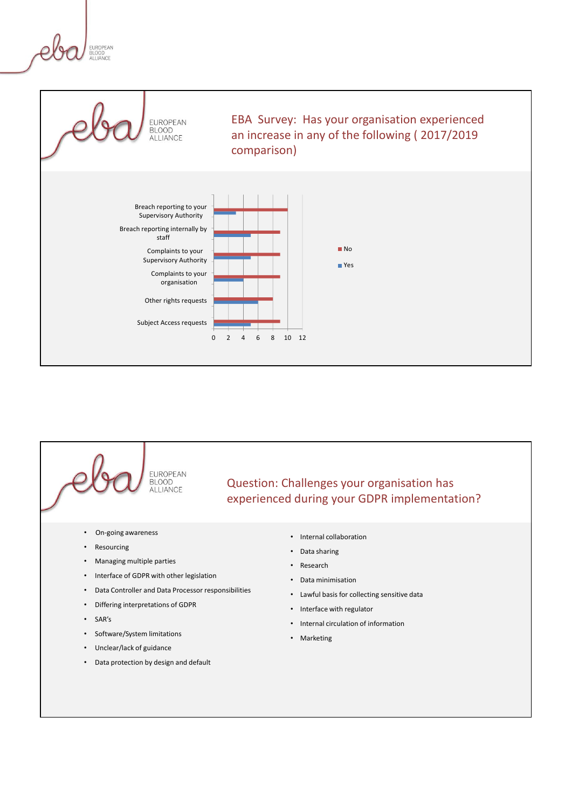UROPEAN DLUUD<br>ALLIANCE